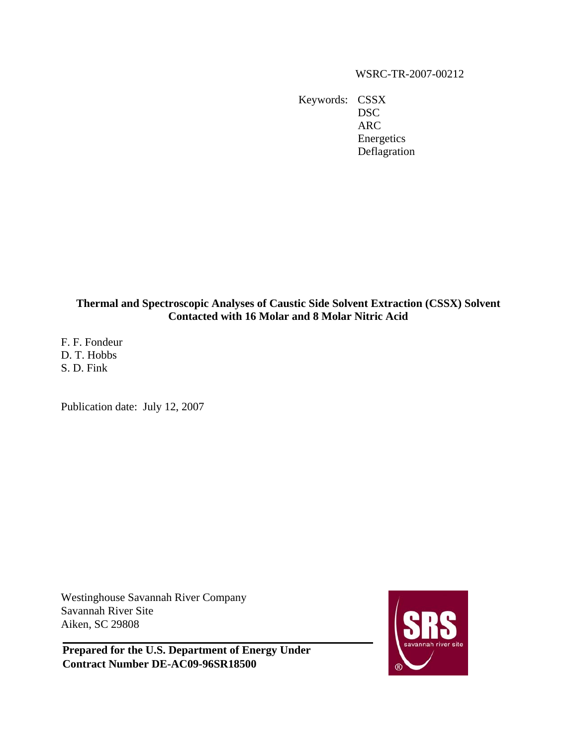# WSRC-TR-2007-00212

Keywords: CSSX DSC ARC Energetics Deflagration

# **Thermal and Spectroscopic Analyses of Caustic Side Solvent Extraction (CSSX) Solvent Contacted with 16 Molar and 8 Molar Nitric Acid**

F. F. Fondeur D. T. Hobbs S. D. Fink

Publication date: July 12, 2007

Westinghouse Savannah River Company Savannah River Site Aiken, SC 29808

**Prepared for the U.S. Department of Energy Under Contract Number DE-AC09-96SR18500**

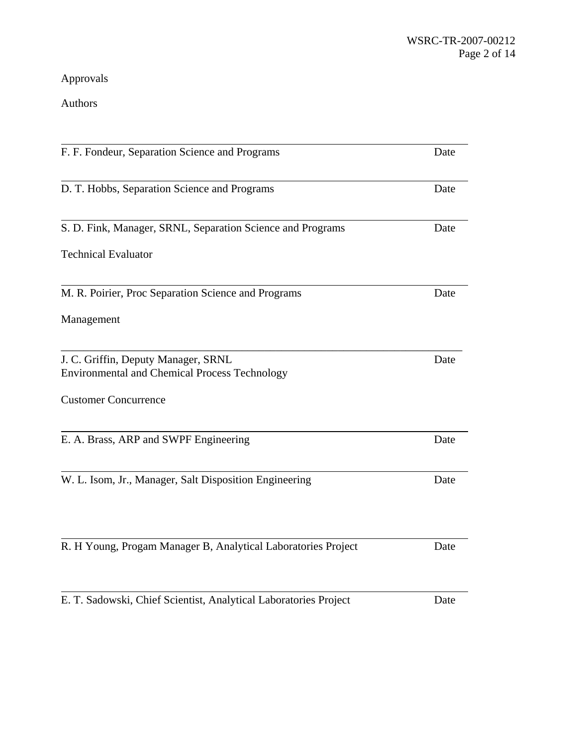Approvals

Authors

| F. F. Fondeur, Separation Science and Programs                                              | Date |
|---------------------------------------------------------------------------------------------|------|
| D. T. Hobbs, Separation Science and Programs                                                | Date |
| S. D. Fink, Manager, SRNL, Separation Science and Programs                                  | Date |
| <b>Technical Evaluator</b>                                                                  |      |
| M. R. Poirier, Proc Separation Science and Programs                                         | Date |
| Management                                                                                  |      |
| J. C. Griffin, Deputy Manager, SRNL<br><b>Environmental and Chemical Process Technology</b> | Date |
| <b>Customer Concurrence</b>                                                                 |      |
| E. A. Brass, ARP and SWPF Engineering                                                       | Date |
| W. L. Isom, Jr., Manager, Salt Disposition Engineering                                      | Date |
| R. H Young, Progam Manager B, Analytical Laboratories Project                               | Date |
| E. T. Sadowski, Chief Scientist, Analytical Laboratories Project                            | Date |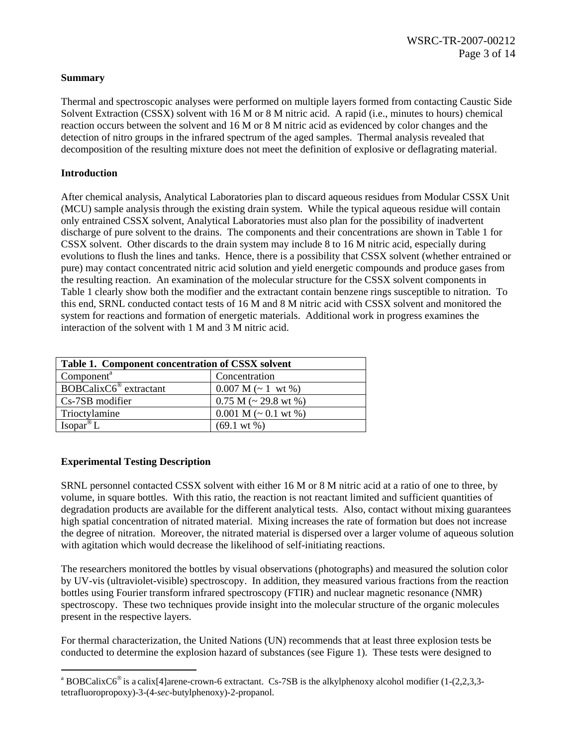## **Summary**

Thermal and spectroscopic analyses were performed on multiple layers formed from contacting Caustic Side Solvent Extraction (CSSX) solvent with 16 M or 8 M nitric acid. A rapid (i.e., minutes to hours) chemical reaction occurs between the solvent and 16 M or 8 M nitric acid as evidenced by color changes and the detection of nitro groups in the infrared spectrum of the aged samples. Thermal analysis revealed that decomposition of the resulting mixture does not meet the definition of explosive or deflagrating material.

# **Introduction**

After chemical analysis, Analytical Laboratories plan to discard aqueous residues from Modular CSSX Unit (MCU) sample analysis through the existing drain system. While the typical aqueous residue will contain only entrained CSSX solvent, Analytical Laboratories must also plan for the possibility of inadvertent discharge of pure solvent to the drains. The components and their concentrations are shown in Table 1 for CSSX solvent. Other discards to the drain system may include 8 to 16 M nitric acid, especially during evolutions to flush the lines and tanks. Hence, there is a possibility that CSSX solvent (whether entrained or pure) may contact concentrated nitric acid solution and yield energetic compounds and produce gases from the resulting reaction. An examination of the molecular structure for the CSSX solvent components in Table 1 clearly show both the modifier and the extractant contain benzene rings susceptible to nitration. To this end, SRNL conducted contact tests of 16 M and 8 M nitric acid with CSSX solvent and monitored the system for reactions and formation of energetic materials. Additional work in progress examines the interaction of the solvent with 1 M and 3 M nitric acid.

| Table 1. Component concentration of CSSX solvent                        |                              |  |  |
|-------------------------------------------------------------------------|------------------------------|--|--|
| Component <sup>a</sup>                                                  | Concentration                |  |  |
| $\overline{\text{BOBC}}$ alix $\text{C6}^{\text{\textcirc}}$ extractant | $0.007$ M (~ 1 wt %)         |  |  |
| $Cs$ -7SB modifier                                                      | $0.75$ M ( $\sim$ 29.8 wt %) |  |  |
| Trioctylamine                                                           | $0.001 M$ (~ 0.1 wt %)       |  |  |
| Isopar <sup>®</sup> L                                                   | $(69.1 \text{ wt } %%)$      |  |  |

# **Experimental Testing Description**

 $\overline{a}$ 

SRNL personnel contacted CSSX solvent with either 16 M or 8 M nitric acid at a ratio of one to three, by volume, in square bottles. With this ratio, the reaction is not reactant limited and sufficient quantities of degradation products are available for the different analytical tests. Also, contact without mixing guarantees high spatial concentration of nitrated material. Mixing increases the rate of formation but does not increase the degree of nitration. Moreover, the nitrated material is dispersed over a larger volume of aqueous solution with agitation which would decrease the likelihood of self-initiating reactions.

The researchers monitored the bottles by visual observations (photographs) and measured the solution color by UV-vis (ultraviolet-visible) spectroscopy. In addition, they measured various fractions from the reaction bottles using Fourier transform infrared spectroscopy (FTIR) and nuclear magnetic resonance (NMR) spectroscopy. These two techniques provide insight into the molecular structure of the organic molecules present in the respective layers.

For thermal characterization, the United Nations (UN) recommends that at least three explosion tests be conducted to determine the explosion hazard of substances (see Figure 1). These tests were designed to

<span id="page-2-0"></span><sup>&</sup>lt;sup>a</sup> BOBCalixC6<sup>®</sup> is a calix[4]arene-crown-6 extractant. Cs-7SB is the alkylphenoxy alcohol modifier (1-(2,2,3,3tetrafluoropropoxy)-3-(4-*sec*-butylphenoxy)-2-propanol.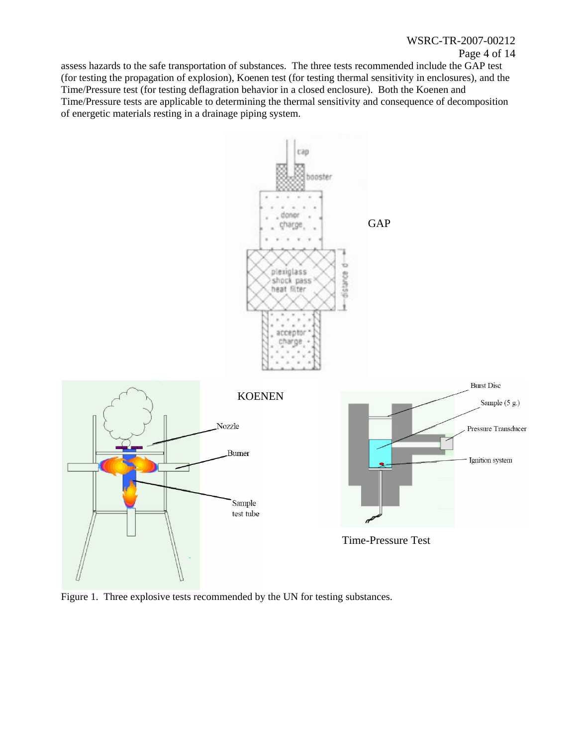## WSRC-TR-2007-00212

### Page 4 of 14

assess hazards to the safe transportation of substances. The three tests recommended include the GAP test (for testing the propagation of explosion), Koenen test (for testing thermal sensitivity in enclosures), and the Time/Pressure test (for testing deflagration behavior in a closed enclosure). Both the Koenen and Time/Pressure tests are applicable to determining the thermal sensitivity and consequence of decomposition of energetic materials resting in a drainage piping system.



Figure 1. Three explosive tests recommended by the UN for testing substances.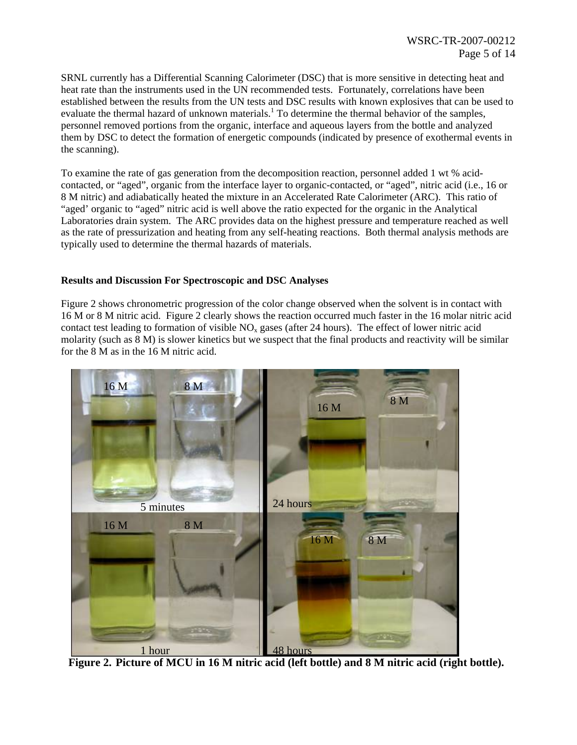SRNL currently has a Differential Scanning Calorimeter (DSC) that is more sensitive in detecting heat and heat rate than the instruments used in the UN recommended tests. Fortunately, correlations have been established between the results from the UN tests and DSC results with known explosives that can be used to evaluate the thermal hazard of unknown materials.<sup>[1](#page-13-0)</sup> To determine the thermal behavior of the samples, personnel removed portions from the organic, interface and aqueous layers from the bottle and analyzed them by DSC to detect the formation of energetic compounds (indicated by presence of exothermal events in the scanning).

To examine the rate of gas generation from the decomposition reaction, personnel added 1 wt % acidcontacted, or "aged", organic from the interface layer to organic-contacted, or "aged", nitric acid (i.e., 16 or 8 M nitric) and adiabatically heated the mixture in an Accelerated Rate Calorimeter (ARC). This ratio of "aged' organic to "aged" nitric acid is well above the ratio expected for the organic in the Analytical Laboratories drain system. The ARC provides data on the highest pressure and temperature reached as well as the rate of pressurization and heating from any self-heating reactions. Both thermal analysis methods are typically used to determine the thermal hazards of materials.

## **Results and Discussion For Spectroscopic and DSC Analyses**

Figure 2 shows chronometric progression of the color change observed when the solvent is in contact with 16 M or 8 M nitric acid. Figure 2 clearly shows the reaction occurred much faster in the 16 molar nitric acid contact test leading to formation of visible  $NO<sub>x</sub>$  gases (after 24 hours). The effect of lower nitric acid molarity (such as 8 M) is slower kinetics but we suspect that the final products and reactivity will be similar for the 8 M as in the 16 M nitric acid.



**Figure 2. Picture of MCU in 16 M nitric acid (left bottle) and 8 M nitric acid (right bottle).**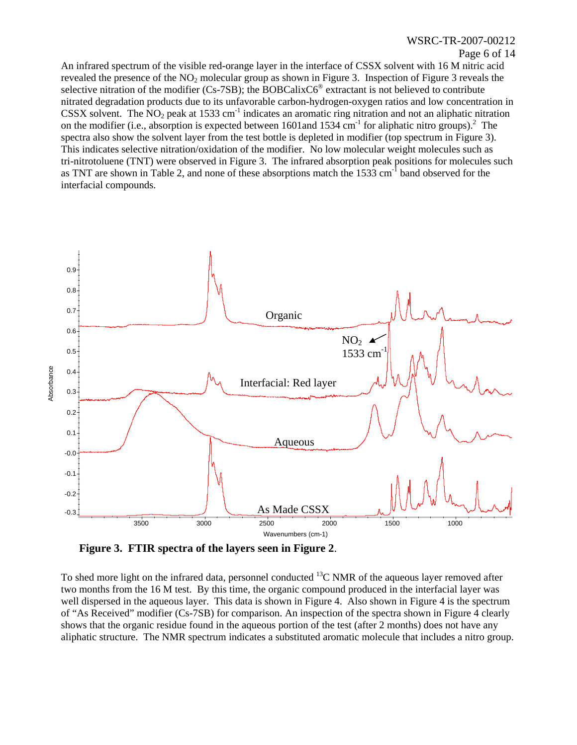# WSRC-TR-2007-00212

#### Page 6 of 14

An infrared spectrum of the visible red-orange layer in the interface of CSSX solvent with 16 M nitric acid revealed the presence of the  $NO<sub>2</sub>$  molecular group as shown in Figure 3. Inspection of Figure 3 reveals the selective nitration of the modifier (Cs-7SB); the BOBCalixC6<sup>®</sup> extractant is not believed to contribute nitrated degradation products due to its unfavorable carbon-hydrogen-oxygen ratios and low concentration in CSSX solvent. The  $NO<sub>2</sub>$  peak at 1533 cm<sup>-1</sup> indicates an aromatic ring nitration and not an aliphatic nitration on the modifier (i.e., absorption is expected between 1601 and 1534 cm<sup>-1</sup> for aliphatic nitro groups).<sup>[2](#page-13-1)</sup> The spectra also show the solvent layer from the test bottle is depleted in modifier (top spectrum in Figure 3). This indicates selective nitration/oxidation of the modifier. No low molecular weight molecules such as tri-nitrotoluene (TNT) were observed in Figure 3. The infrared absorption peak positions for molecules such as TNT are shown in Table 2, and none of these absorptions match the  $1533 \text{ cm}^{-1}$  band observed for the interfacial compounds.



**Figure 3. FTIR spectra of the layers seen in Figure 2**.

To shed more light on the infrared data, personnel conducted  ${}^{13}C$  NMR of the aqueous layer removed after two months from the 16 M test. By this time, the organic compound produced in the interfacial layer was well dispersed in the aqueous layer. This data is shown in Figure 4. Also shown in Figure 4 is the spectrum of "As Received" modifier (Cs-7SB) for comparison. An inspection of the spectra shown in Figure 4 clearly shows that the organic residue found in the aqueous portion of the test (after 2 months) does not have any aliphatic structure. The NMR spectrum indicates a substituted aromatic molecule that includes a nitro group.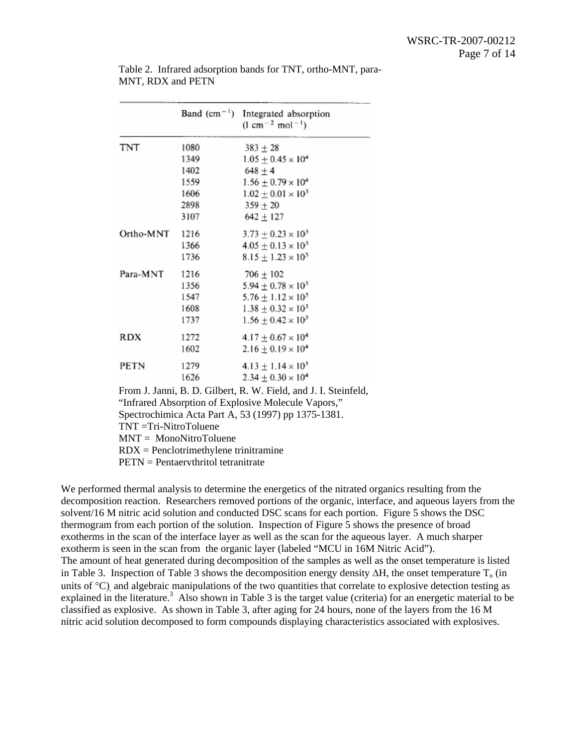|                          | Band $(cm^{-1})$                        | Integrated absorption<br>$(l cm^{-2} mol^{-1})$                 |
|--------------------------|-----------------------------------------|-----------------------------------------------------------------|
| TNT                      | 1080                                    | $383 \pm 28$                                                    |
|                          | 1349                                    | $1.05 + 0.45 \times 10^4$                                       |
|                          | 1402                                    | $648 + 4$                                                       |
|                          | 1559                                    | $1.56 \pm 0.79 \times 10^4$                                     |
|                          | 1606                                    | $1.02 \pm 0.01 \times 10^3$                                     |
|                          | 2898                                    | $359 + 20$                                                      |
|                          | 3107                                    | $642 \pm 127$                                                   |
| Ortho-MNT                | 1216                                    | $3.73 \pm 0.23 \times 10^3$                                     |
|                          | 1366                                    | $4.05 \pm 0.13 \times 10^3$                                     |
|                          | 1736                                    | $8.15 \pm 1.23 \times 10^3$                                     |
| Para-MNT                 | 1216                                    | $706 \pm 102$                                                   |
|                          | 1356                                    | $5.94 \pm 0.78 \times 10^3$                                     |
|                          | 1547                                    | $5.76 \pm 1.12 \times 10^3$                                     |
|                          | 1608                                    | $1.38 \pm 0.32 \times 10^3$                                     |
|                          | 1737                                    | $1.56 \pm 0.42 \times 10^3$                                     |
| RDX                      | 1272                                    | $4.17 \pm 0.67 \times 10^4$                                     |
|                          | 1602                                    | $2.16 \pm 0.19 \times 10^4$                                     |
| PETN                     | 1279                                    | $4.13 \pm 1.14 \times 10^3$                                     |
|                          | 1626                                    | $2.34 \pm 0.30 \times 10^4$                                     |
|                          |                                         | From J. Janni, B. D. Gilbert, R. W. Field, and J. I. Steinfeld, |
|                          |                                         | "Infrared Absorption of Explosive Molecule Vapors,"             |
|                          |                                         | Spectrochimica Acta Part A, 53 (1997) pp 1375-1381.             |
| $TNT = Tri-NitroToluene$ |                                         |                                                                 |
|                          | $MNT = MonoNitroToluene$                |                                                                 |
|                          | $RDX = Penclotrimethylene trinitramine$ |                                                                 |

Table 2. Infrared adsorption bands for TNT, ortho-MNT, para-MNT, RDX and PETN

<span id="page-6-0"></span>PETN = Pentaerythritol tetranitrate

We performed thermal analysis to determine the energetics of the nitrated organics resulting from the decomposition reaction. Researchers removed portions of the organic, interface, and aqueous layers from the solvent/16 M nitric acid solution and conducted DSC scans for each portion. Figure 5 shows the DSC thermogram from each portion of the solution. Inspection of Figure 5 shows the presence of broad exotherms in the scan of the interface layer as well as the scan for the aqueous layer. A much sharper exotherm is seen in the scan from the organic layer (labeled "MCU in 16M Nitric Acid"). The amount of heat generated during decomposition of the samples as well as the onset temperature is listed in Table 3. Inspection of Table 3 shows the decomposition energy density  $\Delta H$ , the onset temperature T<sub>o</sub> (in units of  $^{\circ}$ C) and algebraic manipulations of the two quantities that correlate to explosive detection testing as explained in the literature.<sup>3</sup> Also shown in Table 3 is the target value (criteria) for an energetic material to be classified as explosive. As shown in Table 3, after aging for 24 hours, none of the layers from the 16 M nitric acid solution decomposed to form compounds displaying characteristics associated with explosives.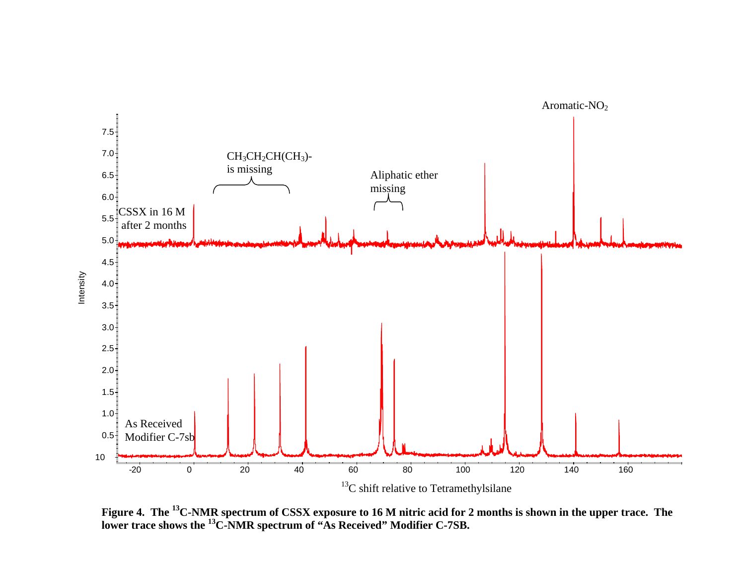

**Figure 4. The 13C-NMR spectrum of CSSX exposure to 16 M nitric acid for 2 months is shown in the upper trace. The lower trace shows the 13C-NMR spectrum of "As Received" Modifier C-7SB.**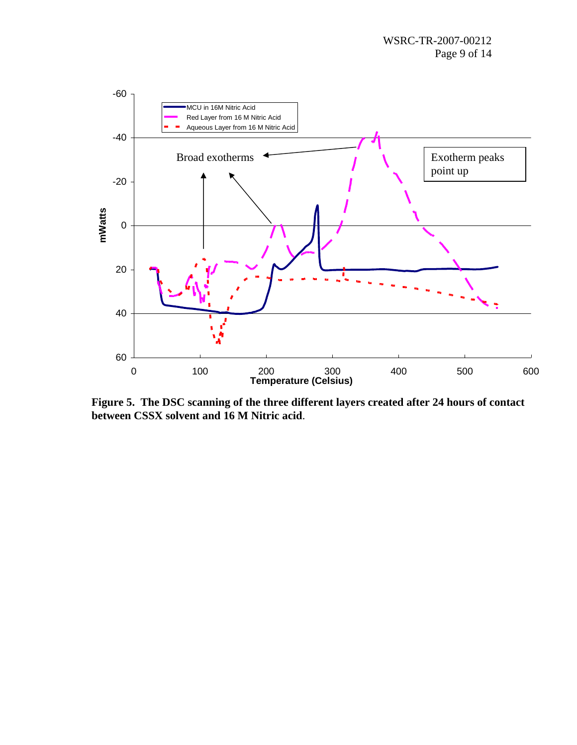

**Figure 5. The DSC scanning of the three different layers created after 24 hours of contact between CSSX solvent and 16 M Nitric acid**.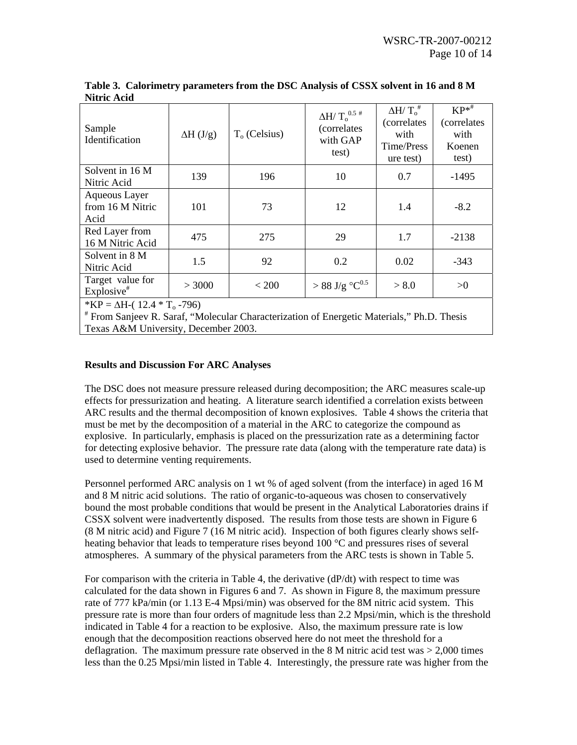| Sample<br>Identification                                                                                                                     | $\Delta H$ (J/g) | $To$ (Celsius) | $\Delta H/\; T_{\rm o}^{\rm -0.5~\#}$<br>(correlates<br>with GAP<br>test) | $\Delta H / T_{o}^{\#}$<br><i>(correlates)</i><br>with<br>Time/Press<br>ure test) | $KP^{*^{\#}}$<br>(correlates<br>with<br>Koenen<br>test) |
|----------------------------------------------------------------------------------------------------------------------------------------------|------------------|----------------|---------------------------------------------------------------------------|-----------------------------------------------------------------------------------|---------------------------------------------------------|
| Solvent in 16 M<br>Nitric Acid                                                                                                               | 139              | 196            | 10                                                                        | 0.7                                                                               | $-1495$                                                 |
| Aqueous Layer<br>from 16 M Nitric<br>Acid                                                                                                    | 101              | 73             | 12                                                                        | 1.4                                                                               | $-8.2$                                                  |
| Red Layer from<br>16 M Nitric Acid                                                                                                           | 475              | 275            | 29                                                                        | 1.7                                                                               | $-2138$                                                 |
| Solvent in 8 M<br>Nitric Acid                                                                                                                | 1.5              | 92             | 0.2                                                                       | 0.02                                                                              | $-343$                                                  |
| Target value for<br>Explosive <sup>#</sup>                                                                                                   | > 3000           | < 200          | $>88$ J/g $^{\circ}C^{0.5}$                                               | > 8.0                                                                             | >0                                                      |
| *KP = $\Delta H$ -(12.4 * T <sub>o</sub> -796)<br># From Sanjeev R. Saraf, "Molecular Characterization of Energetic Materials," Ph.D. Thesis |                  |                |                                                                           |                                                                                   |                                                         |

**Table 3. Calorimetry parameters from the DSC Analysis of CSSX solvent in 16 and 8 M Nitric Acid** 

# **Results and Discussion For ARC Analyses**

Texas A&M University, December 2003.

The DSC does not measure pressure released during decomposition; the ARC measures scale-up effects for pressurization and heating. A literature search identified a correlation exists between ARCresults and the thermal decomposition of known explosives. Table 4 shows the criteria that must be met by the decomposition of a material in the ARC to categorize the compound as explosive. In particularly, emphasis is placed on the pressurization rate as a determining factor for detecting explosive behavior. The pressure rate data (along with the temperature rate data) is used to determine venting requirements.

Personnel performed ARC analysis on 1 wt % of aged solvent (from the interface) in aged 16 M and 8 M nitric acid solutions. The ratio of organic-to-aqueous was chosen to conservatively bound the most probable conditions that would be present in the Analytical Laboratories drains if CSSX solvent were inadvertently disposed. The results from those tests are shown in Figure 6 (8 M nitric acid) and Figure 7 (16 M nitric acid). Inspection of both figures clearly shows selfheating behavior that leads to temperature rises beyond 100 °C and pressures rises of several atmospheres. A summary of the physical parameters from the ARC tests is shown in Table 5.

For comparison with the criteria in Table 4, the derivative  $(dP/dt)$  with respect to time was calculated for the data shown in Figures 6 and 7. As shown in Figure 8, the maximum pressure rate of 777 kPa/min (or 1.13 E-4 Mpsi/min) was observed for the 8M nitric acid system. This pressure rate is more than four orders of magnitude less than 2.2 Mpsi/min, which is the threshold indicated in Table 4 for a reaction to be explosive. Also, the maximum pressure rate is low enough that the decomposition reactions observed here do not meet the threshold for a deflagration. The maximum pressure rate observed in the  $8 \text{ M}$  nitric acid test was  $> 2,000$  times less than the 0.25 Mpsi/min listed in Table 4. Interestingly, the pressure rate was higher from the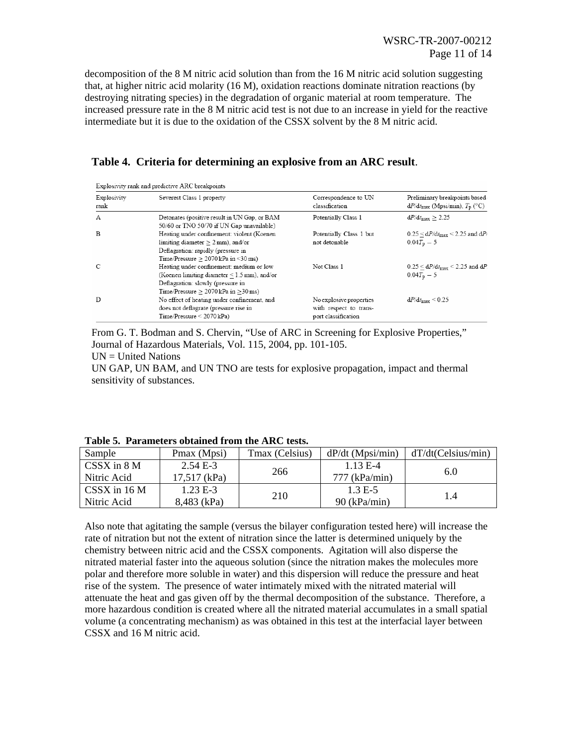decomposition of the 8 M nitric acid solution than from the 16 M nitric acid solution suggesting that, at higher nitric acid molarity (16 M), oxidation reactions dominate nitration reactions (by destroying nitrating species) in the degradation of organic material at room temperature. The increased pressure rate in the 8 M nitric acid test is not due to an increase in yield for the reactive intermediate but it is due to the oxidation of the CSSX solvent by the 8 M nitric acid.

| Explosivity rank and predictive ARC breakpoints |                                                                                                                                                                          |                                                                          |                                                                                    |  |
|-------------------------------------------------|--------------------------------------------------------------------------------------------------------------------------------------------------------------------------|--------------------------------------------------------------------------|------------------------------------------------------------------------------------|--|
| Explosivity<br>rank                             | Severest Class 1 property                                                                                                                                                | Correspondence to UN<br>classification                                   | Preliminary breakpoints based<br>$dP/dt_{\text{max}}$ (Mpsi/min), $T_p$ (°C)       |  |
| А                                               | Detonates (positive result in UN Gap, or BAM<br>50/60 or TNO 50/70 if UN Gap unavailable)                                                                                | Potentially Class 1                                                      | $dP/dt_{\text{max}} > 2.25$                                                        |  |
| B                                               | Heating under confinement: violent (Koenen<br>limiting diameter $> 2$ mm), and/or<br>Deflagration: rapidly (pressure in<br>Time/Pressure $> 2070$ kPa in $\leq 30$ ms)   | Potentially Class 1 but<br>not detonable                                 | $0.25 < dP/dt_{\text{max}} < 2.25$ and $dP/dt_{\text{max}}$<br>$0.04T_{\rm p} - 5$ |  |
| С                                               | Heating under confinement: medium or low<br>(Koenen limiting diameter < 1.5 mm), and/or<br>Deflagration: slowly (pressure in<br>Time/Pressure $> 2070$ kPa in $> 30$ ms) | Not Class 1                                                              | $0.25 < dP/dt_{\text{max}} < 2.25$ and dP.<br>$0.04T_{\rm p} - 5$                  |  |
| D                                               | No effect of heating under confinement, and<br>does not deflagrate (pressure rise in<br>$Time/Pressure < 2070 \text{ kPa})$                                              | No explosive properties<br>with respect to trans-<br>port classification | $dP/dt_{\rm max}$ < 0.25                                                           |  |

# **Table 4. Criteria for determining an explosive from an ARC result**.

From G. T. Bodman and S. Chervin, "Use of ARC in Screening for Explosive Properties," Journal of Hazardous Materials, Vol. 115, 2004, pp. 101-105.

UN = United Nations

UN GAP, UN BAM, and UN TNO are tests for explosive propagation, impact and thermal sensitivity of substances.

| Sample                           | Pmax (Mpsi)    | Tmax (Celsius) | $dP/dt$ (Mpsi/min) | dT/dt(Celsius/min) |
|----------------------------------|----------------|----------------|--------------------|--------------------|
| CSSX in 8 M                      | $2.54E-3$      |                | $1.13 E-4$         |                    |
| Nitric Acid                      | $17,517$ (kPa) | 266            | $777$ (kPa/min)    | 6.0                |
| $\overline{\text{CSSX}}$ in 16 M | $1.23 E-3$     |                | $1.3 E-5$          |                    |
| Nitric Acid                      | 8,483 (kPa)    | 210            | $90$ (kPa/min)     | 1.4                |

**Table 5. Parameters obtained from the ARC tests.**

Also note that agitating the sample (versus the bilayer configuration tested here) will increase the rate of nitration but not the extent of nitration since the latter is determined uniquely by the chemistry between nitric acid and the CSSX components. Agitation will also disperse the nitrated material faster into the aqueous solution (since the nitration makes the molecules more polar and therefore more soluble in water) and this dispersion will reduce the pressure and heat rise of the system. The presence of water intimately mixed with the nitrated material will attenuate the heat and gas given off by the thermal decomposition of the substance. Therefore, a more hazardous condition is created where all the nitrated material accumulates in a small spatial volume (a concentrating mechanism) as was obtained in this test at the interfacial layer between CSSX and 16 M nitric acid.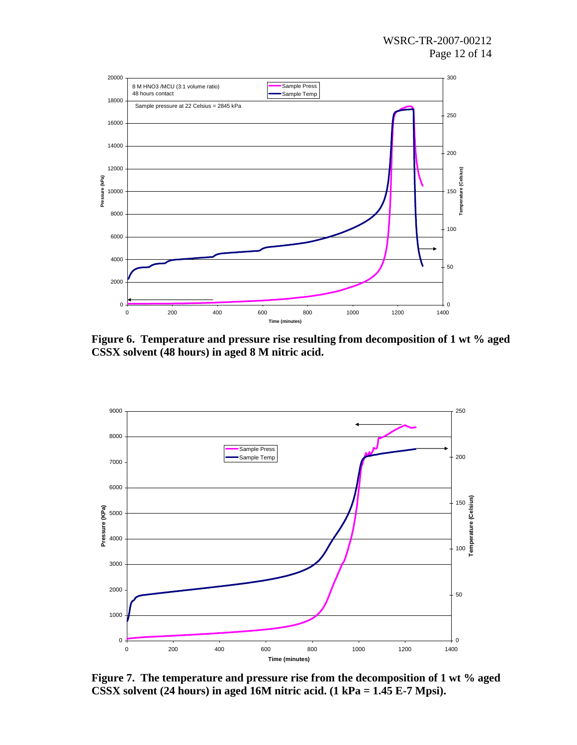

**Figure 6. Temperature and pressure rise resulting from decomposition of 1 wt % aged CSSX solvent (48 hours) in aged 8 M nitric acid.** 



**Figure 7. The temperature and pressure rise from the decomposition of 1 wt % aged CSSX solvent (24 hours) in aged 16M nitric acid. (1 kPa = 1.45 E-7 Mpsi).**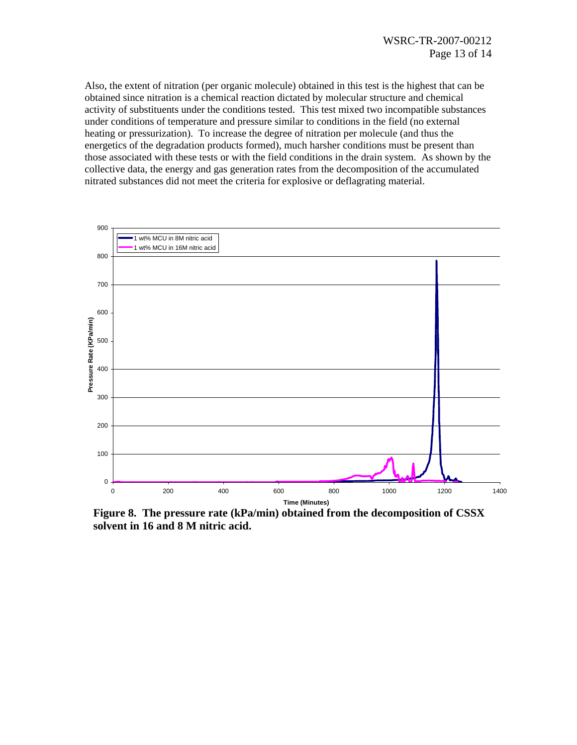Also, the extent of nitration (per organic molecule) obtained in this test is the highest that can be obtained since nitration is a chemical reaction dictated by molecular structure and chemical activity of substituents under the conditions tested. This test mixed two incompatible substances under conditions of temperature and pressure similar to conditions in the field (no external heating or pressurization). To increase the degree of nitration per molecule (and thus the energetics of the degradation products formed), much harsher conditions must be present than those associated with these tests or with the field conditions in the drain system. As shown by the collective data, the energy and gas generation rates from the decomposition of the accumulated nitrated substances did not meet the criteria for explosive or deflagrating material.



**Figure 8. The pressure rate (kPa/min) obtained from the decomposition of CSSX solvent in 16 and 8 M nitric acid.**